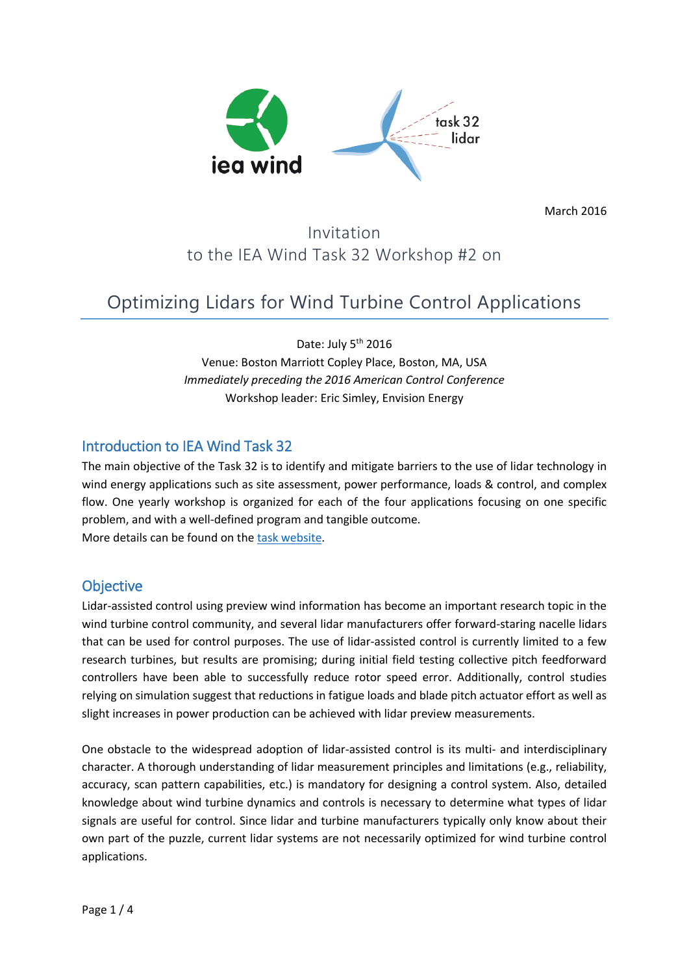

March 2016

# Invitation to the IEA Wind Task 32 Workshop #2 on

# Optimizing Lidars for Wind Turbine Control Applications

Date: July 5<sup>th</sup> 2016 Venue: Boston Marriott Copley Place, Boston, MA, USA *Immediately preceding the 2016 American Control Conference* Workshop leader: Eric Simley, Envision Energy

### Introduction to IEA Wind Task 32

The main objective of the Task 32 is to identify and mitigate barriers to the use of lidar technology in wind energy applications such as site assessment, power performance, loads & control, and complex flow. One yearly workshop is organized for each of the four applications focusing on one specific problem, and with a well-defined program and tangible outcome. More details can be found on the [task website.](http://ieawindtask32.ifb.uni-stuttgart.de/)

### **Objective**

Lidar-assisted control using preview wind information has become an important research topic in the wind turbine control community, and several lidar manufacturers offer forward-staring nacelle lidars that can be used for control purposes. The use of lidar-assisted control is currently limited to a few research turbines, but results are promising; during initial field testing collective pitch feedforward controllers have been able to successfully reduce rotor speed error. Additionally, control studies relying on simulation suggest that reductions in fatigue loads and blade pitch actuator effort as well as slight increases in power production can be achieved with lidar preview measurements.

One obstacle to the widespread adoption of lidar-assisted control is its multi- and interdisciplinary character. A thorough understanding of lidar measurement principles and limitations (e.g., reliability, accuracy, scan pattern capabilities, etc.) is mandatory for designing a control system. Also, detailed knowledge about wind turbine dynamics and controls is necessary to determine what types of lidar signals are useful for control. Since lidar and turbine manufacturers typically only know about their own part of the puzzle, current lidar systems are not necessarily optimized for wind turbine control applications.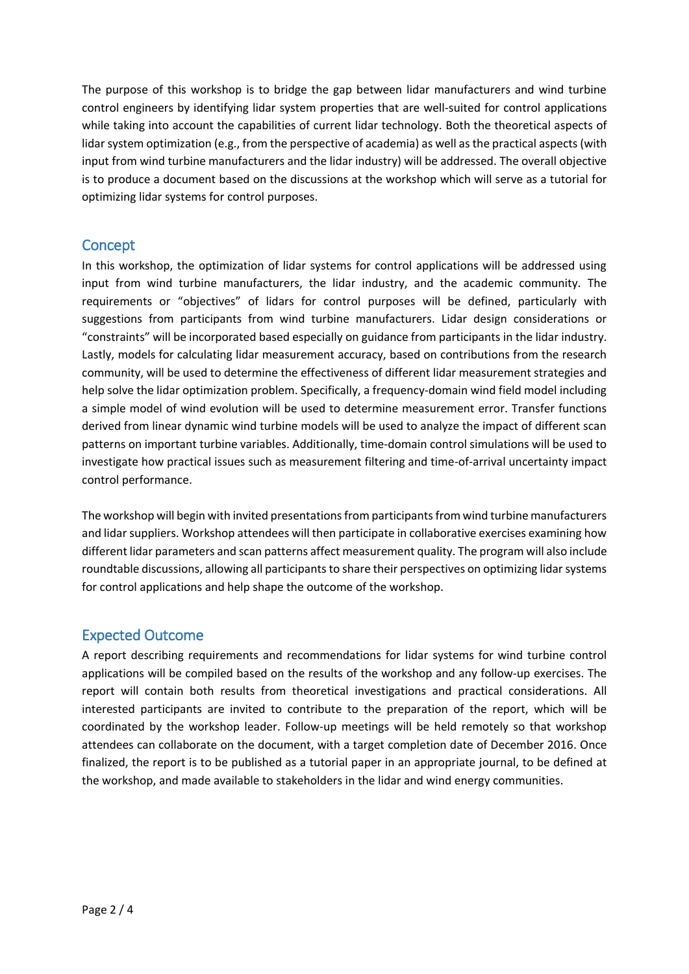The purpose of this workshop is to bridge the gap between lidar manufacturers and wind turbine control engineers by identifying lidar system properties that are well-suited for control applications while taking into account the capabilities of current lidar technology. Both the theoretical aspects of lidar system optimization (e.g., from the perspective of academia) as well as the practical aspects (with input from wind turbine manufacturers and the lidar industry) will be addressed. The overall objective is to produce a document based on the discussions at the workshop which will serve as a tutorial for optimizing lidar systems for control purposes.

### **Concept**

In this workshop, the optimization of lidar systems for control applications will be addressed using input from wind turbine manufacturers, the lidar industry, and the academic community. The requirements or "objectives" of lidars for control purposes will be defined, particularly with suggestions from participants from wind turbine manufacturers. Lidar design considerations or "constraints" will be incorporated based especially on guidance from participants in the lidar industry. Lastly, models for calculating lidar measurement accuracy, based on contributions from the research community, will be used to determine the effectiveness of different lidar measurement strategies and help solve the lidar optimization problem. Specifically, a frequency-domain wind field model including a simple model of wind evolution will be used to determine measurement error. Transfer functions derived from linear dynamic wind turbine models will be used to analyze the impact of different scan patterns on important turbine variables. Additionally, time-domain control simulations will be used to investigate how practical issues such as measurement filtering and time-of-arrival uncertainty impact control performance.

The workshop will begin with invited presentations from participants from wind turbine manufacturers and lidar suppliers. Workshop attendees will then participate in collaborative exercises examining how different lidar parameters and scan patterns affect measurement quality. The program will also include roundtable discussions, allowing all participants to share their perspectives on optimizing lidar systems for control applications and help shape the outcome of the workshop.

### Expected Outcome

A report describing requirements and recommendations for lidar systems for wind turbine control applications will be compiled based on the results of the workshop and any follow-up exercises. The report will contain both results from theoretical investigations and practical considerations. All interested participants are invited to contribute to the preparation of the report, which will be coordinated by the workshop leader. Follow-up meetings will be held remotely so that workshop attendees can collaborate on the document, with a target completion date of December 2016. Once finalized, the report is to be published as a tutorial paper in an appropriate journal, to be defined at the workshop, and made available to stakeholders in the lidar and wind energy communities.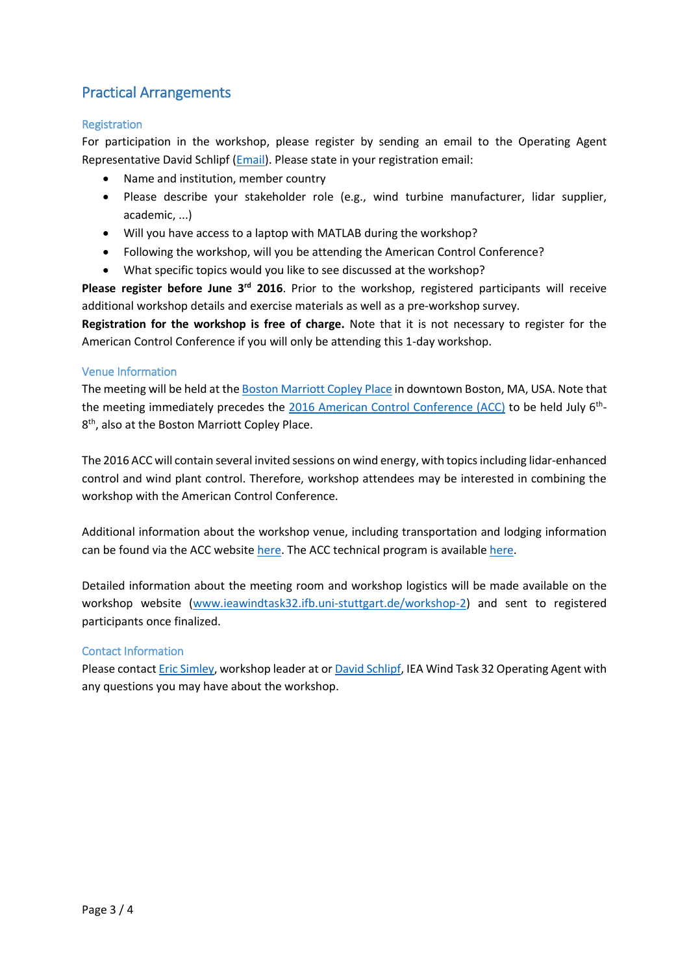### Practical Arrangements

#### **Registration**

For participation in the workshop, please register by sending an email to the Operating Agent Representative David Schlipf [\(Email\)](mailto:IEAWind.Task32@ifb.uni-stuttgart.de). Please state in your registration email:

- Name and institution, member country
- Please describe your stakeholder role (e.g., wind turbine manufacturer, lidar supplier, academic, ...)
- Will you have access to a laptop with MATLAB during the workshop?
- Following the workshop, will you be attending the American Control Conference?
- What specific topics would you like to see discussed at the workshop?

Please register before June 3<sup>rd</sup> 2016. Prior to the workshop, registered participants will receive additional workshop details and exercise materials as well as a pre-workshop survey.

**Registration for the workshop is free of charge.** Note that it is not necessary to register for the American Control Conference if you will only be attending this 1-day workshop.

#### Venue Information

The meeting will be held at the [Boston Marriott Copley Place](http://www.marriott.com/hotels/travel/bosco-boston-marriott-copley-place/) in downtown Boston, MA, USA. Note that the meeting immediately precedes the [2016 American Control Conference \(ACC\)](http://acc2016.a2c2.org/) to be held July 6<sup>th</sup>-8<sup>th</sup>, also at the Boston Marriott Copley Place.

The 2016 ACC will contain several invited sessions on wind energy, with topics including lidar-enhanced control and wind plant control. Therefore, workshop attendees may be interested in combining the workshop with the American Control Conference.

Additional information about the workshop venue, including transportation and lodging information can be found via the ACC websit[e here.](http://acc2016.a2c2.org/hotel_travel.html) The ACC technical program is available [here.](https://css.paperplaza.net/conferences/conferences/2016ACC/program/)

Detailed information about the meeting room and workshop logistics will be made available on the workshop website [\(www.ieawindtask32.ifb.uni-stuttgart.de/workshop-2\)](http://www.ieawindtask32.ifb.uni-stuttgart.de/workshop-2) and sent to registered participants once finalized.

#### Contact Information

Please contac[t Eric Simley,](mailto:eric.simley@envision-energy.com) workshop leader at o[r David Schlipf,](mailto:IEAWind.Task32@ifb.uni-stuttgart.de) IEA Wind Task 32 Operating Agent with any questions you may have about the workshop.